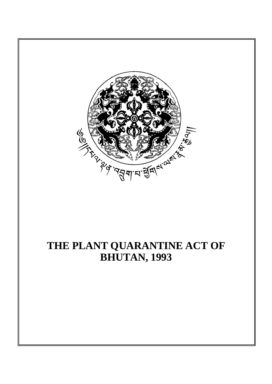

# **THE PLANT QUARANTINE ACT OF BHUTAN, 1993**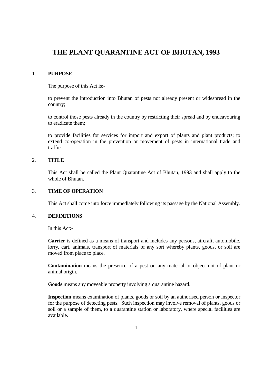# **THE PLANT QUARANTINE ACT OF BHUTAN, 1993**

# 1. **PURPOSE**

The purpose of this Act is:-

 to prevent the introduction into Bhutan of pests not already present or widespread in the country;

 to control those pests already in the country by restricting their spread and by endeavouring to eradicate them;

 to provide facilities for services for import and export of plants and plant products; to extend co-operation in the prevention or movement of pests in international trade and traffic.

# 2. **TITLE**

 This Act shall be called the Plant Quarantine Act of Bhutan, 1993 and shall apply to the whole of Bhutan.

# 3. **TIME OF OPERATION**

This Act shall come into force immediately following its passage by the National Assembly.

# 4. **DEFINITIONS**

In this Act:-

**Carrier** is defined as a means of transport and includes any persons, aircraft, automobile, lorry, cart, animals, transport of materials of any sort whereby plants, goods, or soil are moved from place to place.

**Contamination** means the presence of a pest on any material or object not of plant or animal origin.

**Goods** means any moveable property involving a quarantine hazard.

**Inspection** means examination of plants, goods or soil by an authorised person or Inspector for the purpose of detecting pests. Such inspection may involve removal of plants, goods or soil or a sample of them, to a quarantine station or laboratory, where special facilities are available.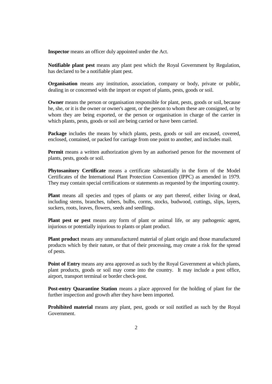**Inspector** means an officer duly appointed under the Act.

**Notifiable plant pest** means any plant pest which the Royal Government by Regulation, has declared to be a notifiable plant pest.

**Organisation** means any institution, association, company or body, private or public, dealing in or concerned with the import or export of plants, pests, goods or soil.

**Owner** means the person or organisation responsible for plant, pests, goods or soil, because he, she, or it is the owner or owner's agent, or the person to whom these are consigned, or by whom they are being exported, or the person or organisation in charge of the carrier in which plants, pests, goods or soil are being carried or have been carried.

Package includes the means by which plants, pests, goods or soil are encased, covered, enclosed, contained, or packed for carriage from one point to another, and includes mail.

**Permit** means a written authorization given by an authorised person for the movement of plants, pests, goods or soil.

**Phytosanitory Certificate** means a certificate substantially in the form of the Model Certificates of the International Plant Protection Convention (IPPC) as amended in 1979. They may contain special certifications or statements as requested by the importing country.

**Plant** means all species and types of plants or any part thereof, either living or dead, including stems, branches, tubers, bulbs, corms, stocks, budwood, cuttings, slips, layers, suckers, roots, leaves, flowers, seeds and seedlings.

**Plant pest or pest** means any form of plant or animal life, or any pathogenic agent, injurious or potentially injurious to plants or plant product.

**Plant product** means any unmanufactured material of plant origin and those manufactured products which by their nature, or that of their processing, may create a risk for the spread of pests.

**Point of Entry** means any area approved as such by the Royal Government at which plants, plant products, goods or soil may come into the country. It may include a post office, airport, transport terminal or border check-post.

**Post-entry Quarantine Station** means a place approved for the holding of plant for the further inspection and growth after they have been imported.

**Prohibited material** means any plant, pest, goods or soil notified as such by the Royal Government.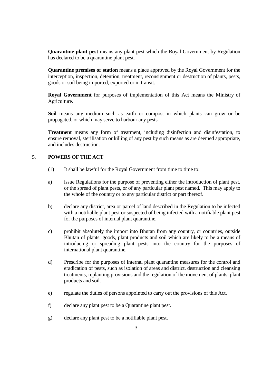**Quarantine plant pest** means any plant pest which the Royal Government by Regulation has declared to be a quarantine plant pest.

**Quarantine premises or station** means a place approved by the Royal Government for the interception, inspection, detention, treatment, reconsignment or destruction of plants, pests, goods or soil being imported, exported or in transit.

**Royal Government** for purposes of implementation of this Act means the Ministry of Agriculture.

**Soil** means any medium such as earth or compost in which plants can grow or be propagated, or which may serve to harbour any pests.

**Treatment** means any form of treatment, including disinfection and disinfestation, to ensure removal, sterilisation or killing of any pest by such means as are deemed appropriate, and includes destruction.

# 5. **POWERS OF THE ACT**

- (1) It shall be lawful for the Royal Government from time to time to:
- a) issue Regulations for the purpose of preventing either the introduction of plant pest, or the spread of plant pests, or of any particular plant pest named. This may apply to the whole of the country or to any particular district or part thereof.
- b) declare any district, area or parcel of land described in the Regulation to be infected with a notifiable plant pest or suspected of being infected with a notifiable plant pest for the purposes of internal plant quarantine.
- c) prohibit absolutely the import into Bhutan from any country, or countries, outside Bhutan of plants, goods, plant products and soil which are likely to be a means of introducing or spreading plant pests into the country for the purposes of international plant quarantine.
- d) Prescribe for the purposes of internal plant quarantine measures for the control and eradication of pests, such as isolation of areas and district, destruction and cleansing treatments, replanting provisions and the regulation of the movement of plants, plant products and soil.
- e) regulate the duties of persons appointed to carry out the provisions of this Act.
- f) declare any plant pest to be a Quarantine plant pest.
- g) declare any plant pest to be a notifiable plant pest.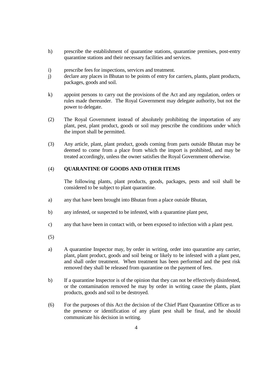- h) prescribe the establishment of quarantine stations, quarantine premises, post-entry quarantine stations and their necessary facilities and services.
- i) prescribe fees for inspections, services and treatment.
- j) declare any places in Bhutan to be points of entry for carriers, plants, plant products, packages, goods and soil.
- k) appoint persons to carry out the provisions of the Act and any regulation, orders or rules made thereunder. The Royal Government may delegate authority, but not the power to delegate.
- (2) The Royal Government instead of absolutely prohibiting the importation of any plant, pest, plant product, goods or soil may prescribe the conditions under which the import shall be permitted.
- (3) Any article, plant, plant product, goods coming from parts outside Bhutan may be deemed to come from a place from which the import is prohibited, and may be treated accordingly, unless the owner satisfies the Royal Government otherwise.

# (4) **QUARANTINE OF GOODS AND OTHER ITEMS**

 The following plants, plant products, goods, packages, pests and soil shall be considered to be subject to plant quarantine.

- a) any that have been brought into Bhutan from a place outside Bhutan,
- b) any infested, or suspected to be infested, with a quarantine plant pest,
- c) any that have been in contact with, or been exposed to infection with a plant pest.
- (5)
- a) A quarantine Inspector may, by order in writing, order into quarantine any carrier, plant, plant product, goods and soil being or likely to be infested with a plant pest, and shall order treatment. When treatment has been performed and the pest risk removed they shall be released from quarantine on the payment of fees.
- b) If a quarantine Inspector is of the opinion that they can not be effectively disinfested, or the contamination removed he may by order in writing cause the plants, plant products, goods and soil to be destroyed.
- (6) For the purposes of this Act the decision of the Chief Plant Quarantine Officer as to the presence or identification of any plant pest shall be final, and he should communicate his decision in writing.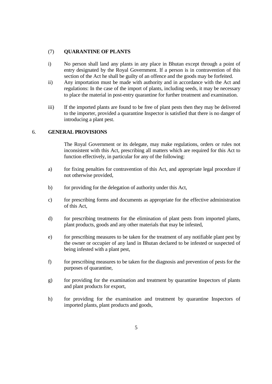# (7) **QUARANTINE OF PLANTS**

- i) No person shall land any plants in any place in Bhutan except through a point of entry designated by the Royal Government. If a person is in contravention of this section of the Act he shall be guilty of an offence and the goods may be forfeited.
- ii) Any importation must be made with authority and in accordance with the Act and regulations: In the case of the import of plants, including seeds, it may be necessary to place the material in post-entry quarantine for further treatment and examination.
- iii) If the imported plants are found to be free of plant pests then they may be delivered to the importer, provided a quarantine Inspector is satisfied that there is no danger of introducing a plant pest.

### 6. **GENERAL PROVISIONS**

 The Royal Government or its delegate, may make regulations, orders or rules not inconsistent with this Act, prescribing all matters which are required for this Act to function effectively, in particular for any of the following:

- a) for fixing penalties for contravention of this Act, and appropriate legal procedure if not otherwise provided,
- b) for providing for the delegation of authority under this Act,
- c) for prescribing forms and documents as appropriate for the effective administration of this Act,
- d) for prescribing treatments for the elimination of plant pests from imported plants, plant products, goods and any other materials that may be infested,
- e) for prescribing measures to be taken for the treatment of any notifiable plant pest by the owner or occupier of any land in Bhutan declared to be infested or suspected of being infested with a plant pest,
- f) for prescribing measures to be taken for the diagnosis and prevention of pests for the purposes of quarantine,
- g) for providing for the examination and treatment by quarantine Inspectors of plants and plant products for export,
- h) for providing for the examination and treatment by quarantine Inspectors of imported plants, plant products and goods,